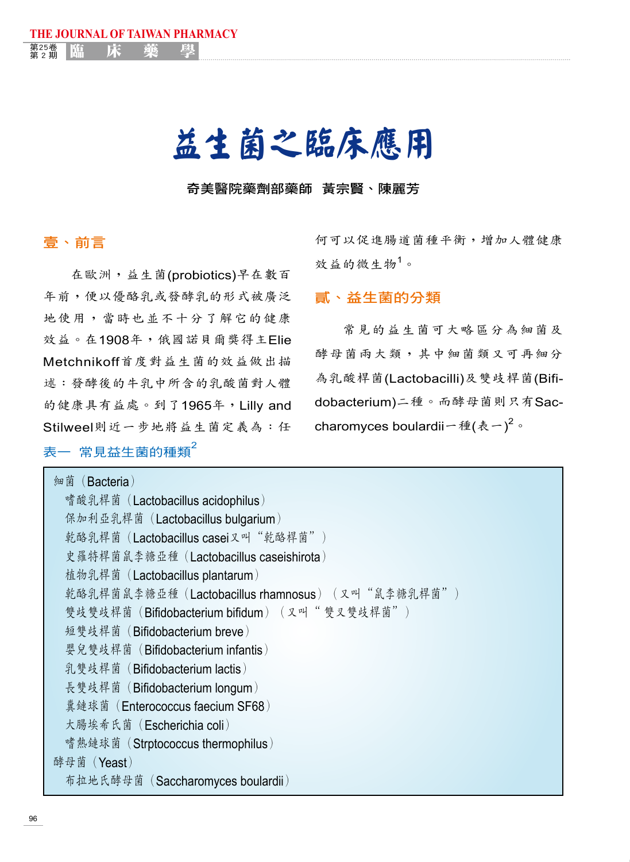# 益生菌之臨床應用

奇美醫院藥劑部藥師 黃宗賢、陳麗芳

## 壹、前言

在歐洲,益生菌(probiotics)早在數百 年前,便以優酪乳或發酵乳的形式被廣泛 地使用,當時也並不十分了解它的健康 效益。在1908年,俄國諾貝爾獎得主Elie Metchnikoff首度對益生菌的效益做出描 述:發酵後的牛乳中所含的乳酸菌對人體 的健康具有益處。到了1965年,Lilly and Stilweel則近一步地將益生菌定義為:任

**THE JOURNAL OF TAIWAN PHARMACY**

<sub>第2期</sub> | 臨 床 藥 學

# 表一 常見益生菌的種類<sup>2</sup>

何可以促進腸道菌種平衡,增加人體健康 效益的微生物<sup>1</sup>。

## 貳、益生菌的分類

常見的益生菌可大略區分為細菌及 酵母菌兩大類,其中細菌類又可再細分 為乳酸桿菌(Lactobacilli)及雙歧桿菌(Bifidobacterium)二種。而酵母菌則只有Saccharomyces boulardii一種(表一) $^2$ 。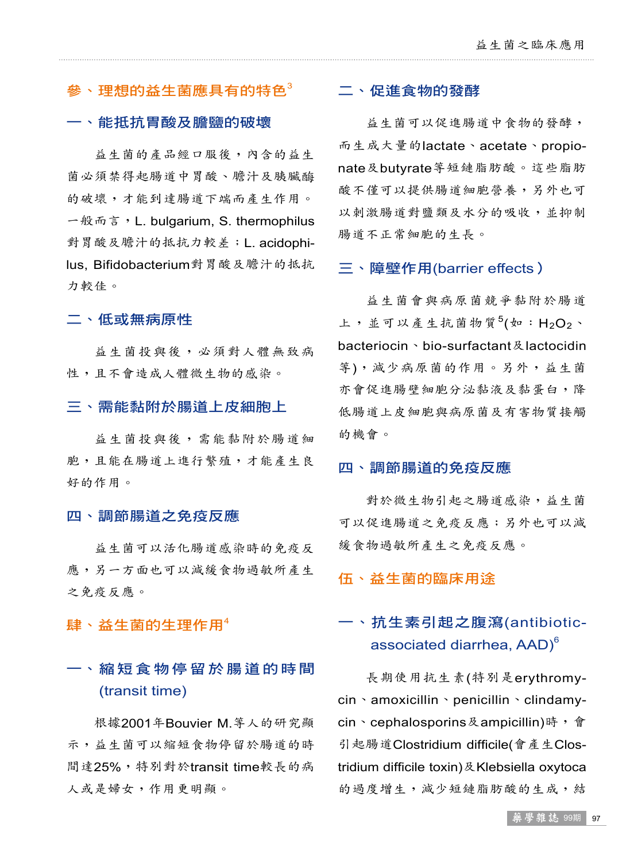# $\langle \hat{\mathcal{G}} \rangle$ 、理想的益生菌應具有的特色 $^3$

### 一、能抵抗胃酸及膽鹽的破壞

益生菌的產品經口服後,內含的益生 菌必須禁得起腸道中胃酸、膽汁及胰臟酶 的破壞,才能到達腸道下端而產生作用。 一般而言,L. bulgarium, S. thermophilus 對胃酸及膽汁的抵抗力較差;L. acidophilus, Bifidobacterium對胃酸及膽汁的抵抗 力較佳。

### 二、低或無病原性

益生菌投與後,必須對人體無致病 性,且不會造成人體微生物的感染。

#### 三、需能黏附於腸道上皮細胞上

益生菌投與後,需能黏附於腸道細 胞,且能在腸道上進行繁殖,才能產生良 好的作用。

#### 四、調節腸道之免疫反應

益生菌可以活化腸道感染時的免疫反 應,另一方面也可以減緩食物過敏所產生 之免疫反應。

肆、益生菌的生理作用<sup>4</sup>

# 一、縮短食物停留於腸道的時間 (transit time)

根據2001年Bouvier M.等人的研究顯 示,益生菌可以縮短食物停留於腸道的時 間達25%,特別對於transit time較長的病 人或是婦女,作用更明顯。

#### 二、促進食物的發酵

益生菌可以促進腸道中食物的發酵, 而生成大量的lactate、acetate、propionate及butyrate等短鏈脂肪酸。這些脂肪 酸不僅可以提供腸道細胞營養,另外也可 以刺激腸道對鹽類及水分的吸收,並抑制 腸道不正常細胞的生長。

#### 三、障壁作用(barrier effects)

益生菌會與病原菌競爭黏附於腸道 上,並可以產生抗菌物質 $5$ (如:H<sub>2</sub>O<sub>2</sub>、 bacteriocin、bio-surfactant及lactocidin 等),減少病原菌的作用。另外,益生菌 亦會促進腸壁細胞分泌黏液及黏蛋白,降 低腸道上皮細胞與病原菌及有害物質接觸 的機會。

#### 四、調節腸道的免疫反應

對於微生物引起之腸道感染,益生菌 可以促進腸道之免疫反應;另外也可以減 緩食物過敏所產生之免疫反應。

伍、益生菌的臨床用途

# 一、抗生素引起之腹瀉(antibioticassociated diarrhea, AAD)<sup>6</sup>

長期使用抗生素(特別是erythromycin、amoxicillin、penicillin、clindamycin、cephalosporins及ampicillin)時,會 引起腸道Clostridium difficile(會產生Clostridium difficile toxin)及Klebsiella oxytoca 的過度增生,減少短鏈脂肪酸的生成,結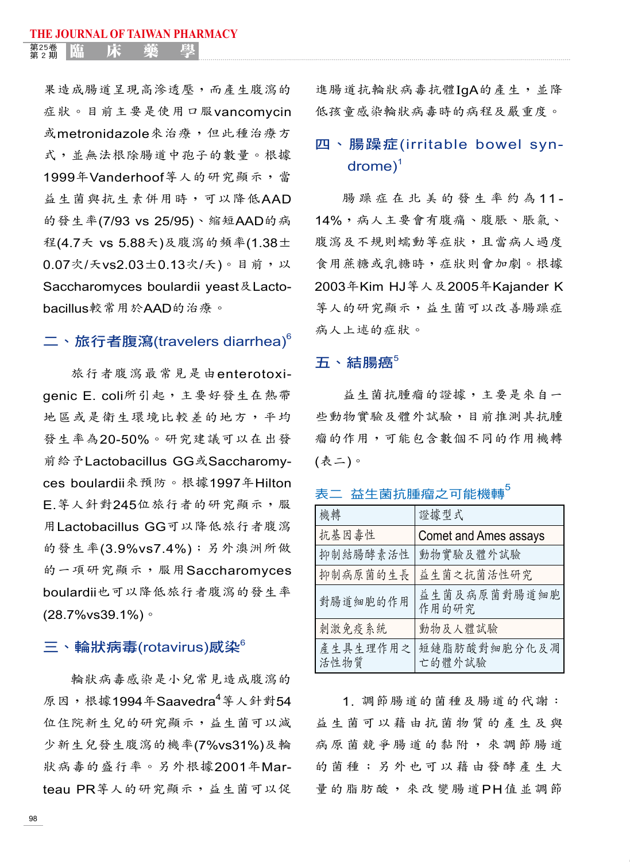<sub>第2期</sub> | 臨 床 藥 學

果造成腸道呈現高滲透壓,而產生腹瀉的 症狀。目前主要是使用口服vancomycin 或metronidazole來治療,但此種治療方 式,並無法根除腸道中孢子的數量。根據 1999年Vanderhoof等人的研究顯示,當 益生菌與抗生素併用時,可以降低AAD 的發生率(7/93 vs 25/95)、縮短AAD的病 程(4.7天 vs 5.88天)及腹瀉的頻率(1.38± 0.07次/天vs2.03±0.13次/天)。目前,以 Saccharomyces boulardii yeast及Lactobacillus較常用於AAD的治療。

# 二丶旅行者腹瀉(travelers diarrhea) $^{\rm 6}$

旅行者腹瀉最常見是由enterotoxigenic E. coli所引起,主要好發生在熱帶 地區或是衛生環境比較差的地方,平均 發生率為20-50%。研究建議可以在出發 前給予Lactobacillus GG或Saccharomyces boulardii來預防。根據1997年Hilton E.等人針對245位旅行者的研究顯示,服 用Lactobacillus GG可以降低旅行者腹瀉 的發生率(3.9%vs7.4%);另外澳洲所做 的一項研究顯示,服用Saccharomyces boulardii也可以降低旅行者腹瀉的發生率 (28.7%vs39.1%)。

## 三、輪狀病毒(rotavirus)感染 $^6$

輪狀病毒感染是小兒常見造成腹瀉的 原因,根據1994年Saavedra<sup>4</sup>等人針對54 位住院新生兒的研究顯示,益生菌可以減 少新生兒發生腹瀉的機率(7%vs31%)及輪 狀病毒的盛行率。另外根據2001年Marteau PR等人的研究顯示,益生菌可以促

進腸道抗輪狀病毒抗體IgA的產生,並降 低孩童感染輪狀病毒時的病程及嚴重度。

# 四、腸躁症(irritable bowel syndrome) 1

腸 躁 症 在 北 美 的 發 生 率 約 為 11 - 14%,病人主要會有腹痛、腹脹、脹氣、 腹瀉及不規則蠕動等症狀,且當病人過度 食用蔗糖或乳糖時,症狀則會加劇。根據 2003年Kim HJ等人及2005年Kajander K 等人的研究顯示,益生菌可以改善腸躁症 病人上述的症狀。

### 五、結腸癌<sup>5</sup>

益生菌抗腫瘤的證據,主要是來自一 些動物實驗及體外試驗,目前推測其抗腫 瘤的作用,可能包含數個不同的作用機轉 (表二)。

| 機轉               | 證據型式                   |
|------------------|------------------------|
| 抗基因毒性            | Comet and Ames assays  |
| 抑制結腸酵素活性         | 動物實驗及體外試驗              |
| 抑制病原菌的生長         | 益生菌之抗菌活性研究             |
| 對腸道細胞的作用         | 益生菌及病原菌對腸道細胞<br>作用的研究  |
| 刺激免疫系統           | 動物及人體試驗                |
| 產生具生理作用之<br>活性物質 | 短鏈脂肪酸對細胞分化及凋<br>亡的體外試驗 |

表二 益生菌抗腫瘤之可能機轉

1. 調節腸道的菌種及腸道的代謝: 益生菌可以藉由抗菌物質的產生及與 病原菌競爭腸道的黏附,來調節腸道 的菌種;另外也可以藉由發酵產生大 量的脂肪酸,來改變腸道PH值並調節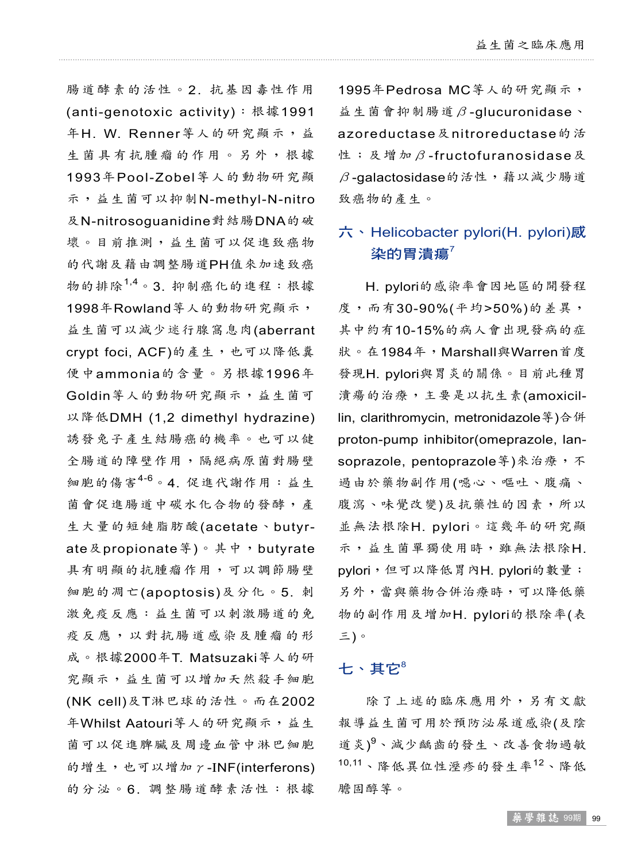腸道酵素的活性。2. 抗基因毒性作用 (anti-genotoxic activity):根據1991 年H. W. Renner等人的研究顯示,益 生菌具有抗腫瘤的作用。另外,根據 1993年Pool-Zobel等人的動物研究顯 示,益生菌可以抑制N-methyl-N-nitro 及N-nitrosoguanidine對結腸DNA的破 壞。目前推測,益生菌可以促進致癌物 的代謝及藉由調整腸道PH值來加速致癌 物的排除1,4 。3. 抑制癌化的進程:根據 1998年Rowland等人的動物研究顯示, 益生菌可以減少迷行腺窩息肉(aberrant crypt foci, ACF)的產生,也可以降低糞 便中ammonia的含量。另根據1996年 Goldin等人的動物研究顯示,益生菌可 以降低DMH (1,2 dimethyl hydrazine) 誘發兔子產生結腸癌的機率。也可以健 全腸道的障壁作用,隔絕病原菌對腸壁 細胞的傷害<sup>4-6</sup>。4. 促進代謝作用:益生 菌會促進腸道中碳水化合物的發酵,產 生大量的短鏈脂肪酸(acetate、butyrate及propionate等)。其中, butyrate 具有明顯的抗腫瘤作用,可以調節腸壁 細胞的凋亡(apoptosis)及分化。5. 刺 激免疫反應:益生菌可以刺激腸道的免 疫反應,以對抗腸道感染及腫瘤的形 成。根據2000年T. Matsuzaki等人的研 究顯示,益生菌可以增加天然殺手細胞 (NK cell)及T淋巴球的活性。而在2002 年Whilst Aatouri等人的研究顯示,益生 菌可以促進脾臟及周邊血管中淋巴細胞 的增生,也可以增加γ-INF(interferons) 的分泌。6. 調整腸道酵素活性:根據

1995年Pedrosa MC等人的研究顯示, 益生菌會抑制腸道β-glucuronidase、 azoreductase及nitroreductase的活 性;及增加β-fructofuranosidase及  $\beta$ -qalactosidase的活性, 藉以減少腸道 致癌物的產生。

# 六、Helicobacter pylori(H. pylori)感 染的胃潰瘍 $7$

H. pylori的感染率會因地區的開發程 度,而有30-90%(平均>50%)的差異, 其中約有10-15%的病人會出現發病的症 狀。在1984年,Marshall與Warren首度 發現H. pylori與胃炎的關係。目前此種胃 潰瘍的治療,主要是以抗生素(amoxicillin, clarithromycin, metronidazole等)合併 proton-pump inhibitor(omeprazole, lansoprazole, pentoprazole 等) 來治療, 不 過由於藥物副作用(噁心、嘔吐、腹痛、 腹瀉、味覺改變)及抗藥性的因素,所以 並無法根除H. pylori。這幾年的研究顯 示,益生菌單獨使用時,雖無法根除H. pylori,但可以降低胃內H. pylori的數量; 另外,當與藥物合併治療時,可以降低藥 物的副作用及增加H. pylori的根除率(表 三)。

## 七、其它 $^8$

除了上述的臨床應用外,另有文獻 報導益生菌可用於預防泌尿道感染(及陰 道炎)<sup>9、減少齲齒的發生、改善食物過敏</sup> 10,11 、降低異位性溼疹的發生率<sup>12</sup> 、降低 膽固醇等。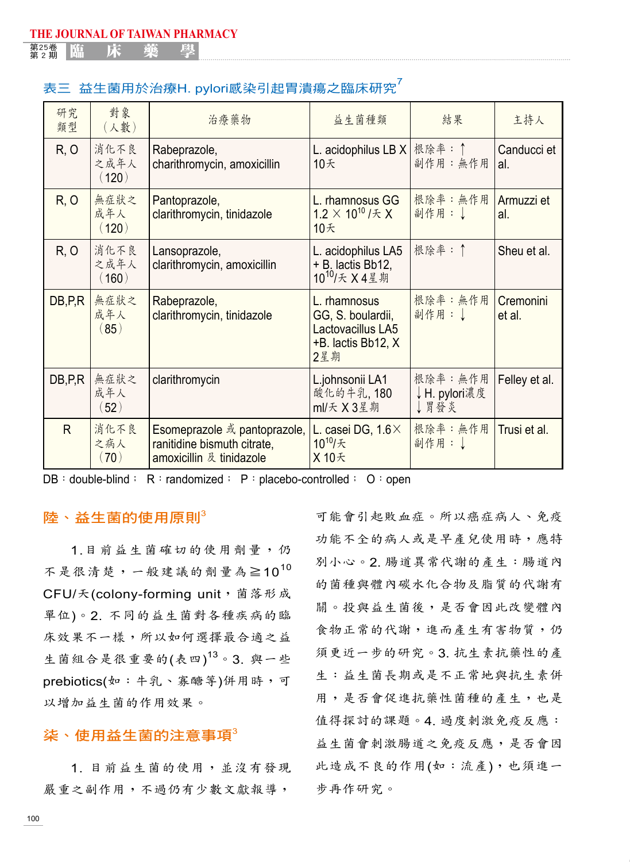<sub>第2期</sub> | 臨 床 藥 學

## 表三 益生菌用於治療H. pylori感染引起胃潰瘍之臨床研究

| 研究<br>類型 | 對象<br>(人數)            | 治療藥物                                                                                    | 益生菌種類                                                                               | 結果                               | 主持人                 |
|----------|-----------------------|-----------------------------------------------------------------------------------------|-------------------------------------------------------------------------------------|----------------------------------|---------------------|
| R, O     | 消化不良<br>之成年人<br>(120) | Rabeprazole,<br>charithromycin, amoxicillin                                             | L. acidophilus LB $X$<br>10天                                                        | 根除率: ↑<br>副作用:無作用                | Canducci et<br>al.  |
| R, O     | 無症狀之<br>成年人<br>(120)  | Pantoprazole,<br>clarithromycin, tinidazole                                             | L. rhamnosus GG<br>1.2 $\times$ 10 <sup>10</sup> / $\pm$ X<br>10天                   | 根除率: 無作用<br>副作用:」                | Armuzzi et<br>al.   |
| R, O     | 消化不良<br>之成年人<br>(160) | Lansoprazole,<br>clarithromycin, amoxicillin                                            | L. acidophilus LA5<br>+ B. lactis Bb12,<br>10 <sup>10</sup> /天 X4星期                 | 根除率: ↑                           | Sheu et al.         |
| DB, P, R | 無症狀之<br>成年人<br>(85)   | Rabeprazole,<br>clarithromycin, tinidazole                                              | L. rhamnosus<br>GG, S. boulardii,<br>Lactovacillus LA5<br>+B. lactis Bb12, X<br>2星期 | 根除率: 無作用<br>副作用: 」               | Cremonini<br>et al. |
| DB, P, R | 無症狀之<br>成年人<br>(52)   | clarithromycin                                                                          | L.johnsonii LA1<br>酸化的牛乳,180<br>ml/天 X3星期                                           | 根除率: 無作用<br>↓H. pylori濃度<br>↓胃發炎 | Felley et al.       |
| R.       | 消化不良<br>之病人<br>(70)   | Esomeprazole 或 pantoprazole,<br>ranitidine bismuth citrate,<br>amoxicillin 及 tinidazole | L. casei DG, $1.6\times$<br>10 <sup>10</sup> /天<br>X 10天                            | 根除率: 無作用<br>副作用: J               | Trusi et al.        |

 $DB : double-blind : R : randomized : P : placebo-controlled : O : open$ 

### 陸、益生菌的使用原則。

1.目前益生菌確切的使用劑量,仍 不是很清楚,一般建議的劑量為≧10<sup>10</sup> CFU/天(colony-forming unit, 菌落形成 單位)。2. 不同的益生菌對各種疾病的臨 床效果不一樣,所以如何選擇最合適之益 生菌組合是很重要的(表四)<sup>13</sup>。3. 與一些 prebiotics(如:牛乳、寡醣等)併用時,可 以增加益生菌的作用效果。

## 柒、使用益生菌的注意事項 $3$

1. 目前益生菌的使用,並沒有發現 嚴重之副作用,不過仍有少數文獻報導,

可能會引起敗血症。所以癌症病人、免疫 功能不全的病人或是早產兒使用時,應特 別小心。2. 腸道異常代謝的產生:腸道內 的菌種與體內碳水化合物及脂質的代謝有 關。投與益生菌後,是否會因此改變體內 食物正常的代謝,進而產生有害物質,仍 須更近一步的研究。3. 抗生素抗藥性的產 生:益生菌長期或是不正常地與抗生素併 用,是否會促進抗藥性菌種的產生,也是 值得探討的課題。4. 過度刺激免疫反應: 益生菌會刺激腸道之免疫反應,是否會因 此造成不良的作用(如:流產),也須進一 步再作研究。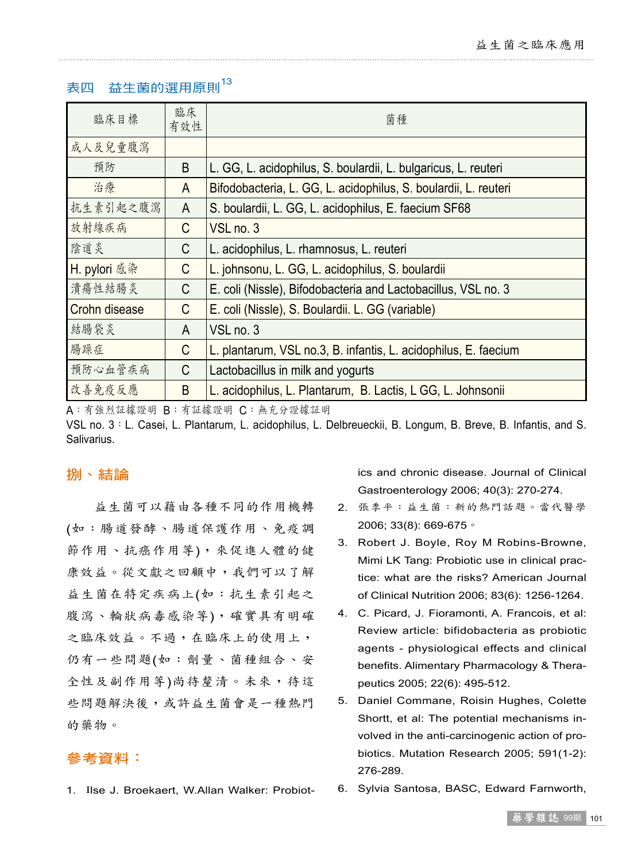# 表四 益生菌的選用原則<sup>13</sup>

| 臨床目標          | 臨床<br>有效性 | 菌種                                                              |
|---------------|-----------|-----------------------------------------------------------------|
| 成人及兒童腹瀉       |           |                                                                 |
| 預防            | B         | L. GG, L. acidophilus, S. boulardii, L. bulgaricus, L. reuteri  |
| 治療            | A         | Bifodobacteria, L. GG, L. acidophilus, S. boulardii, L. reuteri |
| 抗生素引起之腹瀉      | A         | S. boulardii, L. GG, L. acidophilus, E. faecium SF68            |
| 放射線疾病         | C         | VSL no. 3                                                       |
| 陰道炎           | C         | L. acidophilus, L. rhamnosus, L. reuteri                        |
| H. pylori 感染  | C         | L. johnsonu, L. GG, L. acidophilus, S. boulardii                |
| 潰瘍性結腸炎        | C         | E. coli (Nissle), Bifodobacteria and Lactobacillus, VSL no. 3   |
| Crohn disease | C         | E. coli (Nissle), S. Boulardii. L. GG (variable)                |
| 結腸袋炎          | A         | VSL <sub>no.3</sub>                                             |
| 腸躁症           | C         | L. plantarum, VSL no.3, B. infantis, L. acidophilus, E. faecium |
| 預防心血管疾病       | C         | Lactobacillus in milk and yogurts                               |
| 改善免疫反應        | B         | L. acidophilus, L. Plantarum, B. Lactis, L GG, L. Johnsonii     |

A:有強烈証據證明 B:有証據證明 C:無充分證據証明

VSL no. 3:L. Casei, L. Plantarum, L. acidophilus, L. Delbreueckii, B. Longum, B. Breve, B. Infantis, and S. Salivarius.

## 捌、結論

益生菌可以藉由各種不同的作用機轉 (如:腸道發酵、腸道保護作用、免疫調 節作用、抗癌作用等),來促進人體的健 康效益。從文獻之回顧中,我們可以了解 益生菌在特定疾病上(如:抗生素引起之 腹瀉、輪狀病毒感染等),確實具有明確 之臨床效益。不過,在臨床上的使用上, 仍有一些問題(如:劑量、菌種組合、安 全性及副作用等)尚待釐清。未來,待這 些問題解決後,或許益生菌會是一種熱門 的藥物。

## 參考資料:

1. Ilse J. Broekaert, W.Allan Walker: Probiot-

ics and chronic disease. Journal of Clinical Gastroenterology 2006; 40(3): 270-274.

- 2. 張季平:益生菌:新的熱門話題。當代醫學 2006; 33(8): 669-675。
- 3. Robert J. Boyle, Roy M Robins-Browne, Mimi LK Tang: Probiotic use in clinical practice: what are the risks? American Journal of Clinical Nutrition 2006; 83(6): 1256-1264.
- 4. C. Picard, J. Fioramonti, A. Francois, et al: Review article: bifidobacteria as probiotic agents - physiological effects and clinical benefits. Alimentary Pharmacology & Therapeutics 2005; 22(6): 495-512.
- 5. Daniel Commane, Roisin Hughes, Colette Shortt, et al: The potential mechanisms involved in the anti-carcinogenic action of probiotics. Mutation Research 2005; 591(1-2): 276-289.
- 6. Sylvia Santosa, BASC, Edward Farnworth,